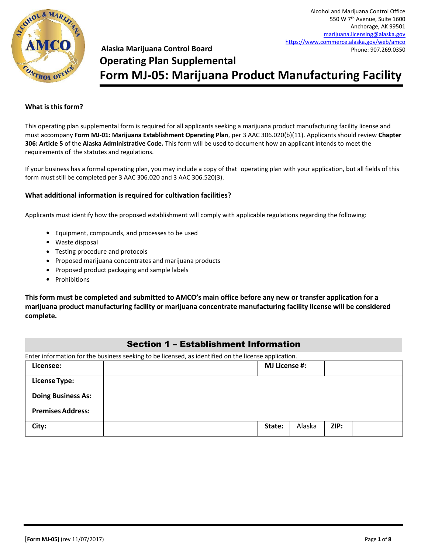

# **Alaska Marijuana Control Board Operating Plan Supplemental Form MJ-05: Marijuana Product Manufacturing Facility**

#### **What is this form?**

This operating plan supplemental form is required for all applicants seeking a marijuana product manufacturing facility license and must accompany **Form MJ-01: Marijuana Establishment Operating Plan**, per 3 AAC 306.020(b)(11). Applicants should review **Chapter 306: Article 5** of the **Alaska Administrative Code.** This form will be used to document how an applicant intends to meet the requirements of the statutes and regulations.

If your business has a formal operating plan, you may include a copy of that operating plan with your application, but all fields of this form must still be completed per 3 AAC 306.020 and 3 AAC 306.520(3).

#### **What additional information is required for cultivation facilities?**

Applicants must identify how the proposed establishment will comply with applicable regulations regarding the following:

- Equipment, compounds, and processes to be used
- Waste disposal
- Testing procedure and protocols
- Proposed marijuana concentrates and marijuana products
- Proposed product packaging and sample labels
- Prohibitions

**This form must be completed and submitted to AMCO's main office before any new or transfer application for a marijuana product manufacturing facility or marijuana concentrate manufacturing facility license will be considered complete.**

### Section 1 – Establishment Information

| Enter information for the business seeking to be licensed, as identified on the license application. |                      |        |      |  |
|------------------------------------------------------------------------------------------------------|----------------------|--------|------|--|
| Licensee:                                                                                            | <b>MJ License #:</b> |        |      |  |
| <b>License Type:</b>                                                                                 |                      |        |      |  |
| <b>Doing Business As:</b>                                                                            |                      |        |      |  |
| <b>Premises Address:</b>                                                                             |                      |        |      |  |
| City:                                                                                                | State:               | Alaska | ZIP: |  |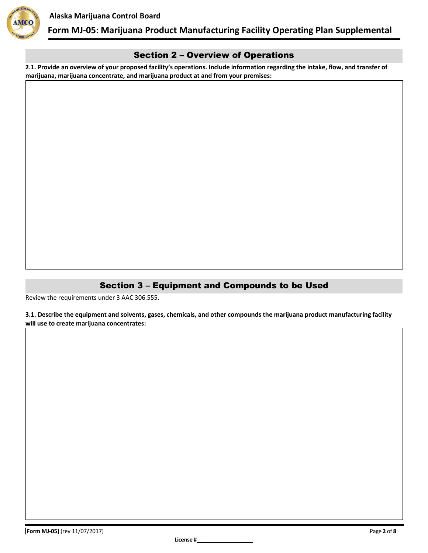



#### Section 2 – Overview of Operations

**2.1. Provide an overview of your proposed facility's operations. Include information regarding the intake, flow, and transfer of marijuana, marijuana concentrate, and marijuana product at and from your premises:**

### Section 3 – Equipment and Compounds to be Used

Review the requirements under 3 AAC 306.555.

**3.1. Describe the equipment and solvents, gases, chemicals, and other compounds the marijuana product manufacturing facility will use to create marijuana concentrates:**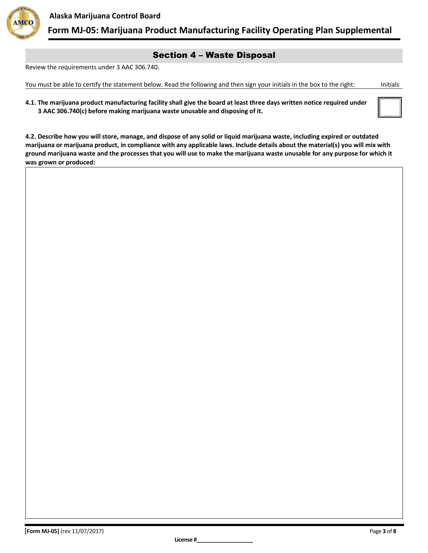

#### Section 4 – Waste Disposal

Review the requirements under 3 AAC 306.740.

You must be able to certify the statement below. Read the following and then sign your initials in the box to the right: Initials

**4.1. The marijuana product manufacturing facility shall give the board at least three days written notice required under 3 AAC 306.740(c) before making marijuana waste unusable and disposing of it.**

**4.2. Describe how you will store, manage, and dispose of any solid or liquid marijuana waste, including expired or outdated marijuana or marijuana product, in compliance with any applicable laws. Include details about the material(s) you will mix with ground marijuana waste and the processes that you will use to make the marijuana waste unusable for any purpose for which it was grown or produced:**

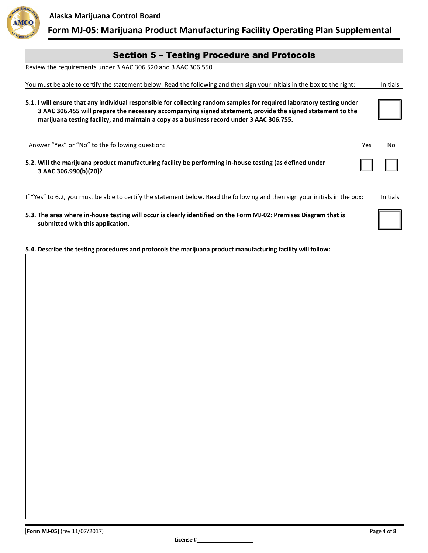



| <b>Section 5 - Testing Procedure and Protocols</b> |  |  |  |  |  |  |
|----------------------------------------------------|--|--|--|--|--|--|
|----------------------------------------------------|--|--|--|--|--|--|

Review the requirements under 3 AAC 306.520 and 3 AAC 306.550.

| You must be able to certify the statement below. Read the following and then sign your initials in the box to the right:                                                                                                                                                                                                           | <b>Initials</b> |
|------------------------------------------------------------------------------------------------------------------------------------------------------------------------------------------------------------------------------------------------------------------------------------------------------------------------------------|-----------------|
| 5.1. I will ensure that any individual responsible for collecting random samples for required laboratory testing under<br>3 AAC 306.455 will prepare the necessary accompanying signed statement, provide the signed statement to the<br>marijuana testing facility, and maintain a copy as a business record under 3 AAC 306.755. |                 |
| Answer "Yes" or "No" to the following question:                                                                                                                                                                                                                                                                                    | Yes<br>No       |
| 5.2. Will the marijuana product manufacturing facility be performing in-house testing (as defined under<br>3 AAC 306.990(b)(20)?                                                                                                                                                                                                   |                 |
| If "Yes" to 6.2, you must be able to certify the statement below. Read the following and then sign your initials in the box:                                                                                                                                                                                                       | <b>Initials</b> |
| 5.3. The area where in-house testing will occur is clearly identified on the Form MJ-02: Premises Diagram that is<br>submitted with this application.                                                                                                                                                                              |                 |

**5.4. Describe the testing procedures and protocols the marijuana product manufacturing facility will follow:**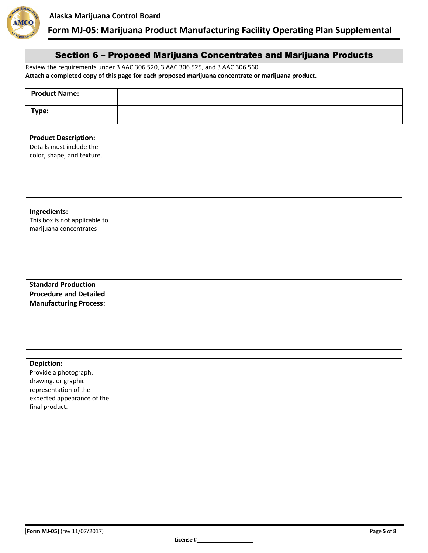

#### Section 6 – Proposed Marijuana Concentrates and Marijuana Products

Review the requirements under 3 AAC 306.520, 3 AAC 306.525, and 3 AAC 306.560. **Attach a completed copy of this page for each proposed marijuana concentrate or marijuana product.**

| <b>Product Name:</b>                                                                                                                       |  |
|--------------------------------------------------------------------------------------------------------------------------------------------|--|
| Type:                                                                                                                                      |  |
| <b>Product Description:</b><br>Details must include the<br>color, shape, and texture.                                                      |  |
| Ingredients:<br>This box is not applicable to<br>marijuana concentrates                                                                    |  |
| <b>Standard Production</b><br><b>Procedure and Detailed</b><br><b>Manufacturing Process:</b>                                               |  |
| <b>Depiction:</b><br>Provide a photograph,<br>drawing, or graphic<br>representation of the<br>expected appearance of the<br>final product. |  |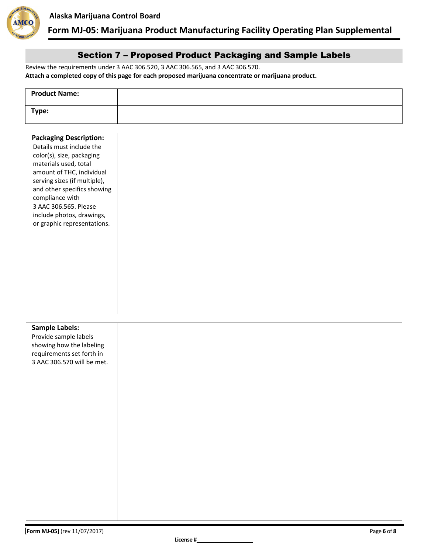

#### Section 7 – Proposed Product Packaging and Sample Labels

Review the requirements under 3 AAC 306.520, 3 AAC 306.565, and 3 AAC 306.570. **Attach a completed copy of this page for each proposed marijuana concentrate or marijuana product.**

| <b>Product Name:</b> |  |
|----------------------|--|
| Type:                |  |

| <b>Packaging Description:</b> |  |
|-------------------------------|--|
| Details must include the      |  |
|                               |  |
| color(s), size, packaging     |  |
| materials used, total         |  |
| amount of THC, individual     |  |
| serving sizes (if multiple),  |  |
| and other specifics showing   |  |
| compliance with               |  |
| 3 AAC 306.565. Please         |  |
| include photos, drawings,     |  |
| or graphic representations.   |  |
|                               |  |
|                               |  |
|                               |  |
|                               |  |
|                               |  |
|                               |  |
|                               |  |
|                               |  |
|                               |  |
|                               |  |
|                               |  |
|                               |  |
| <b>Sample Labels:</b>         |  |
| Drovido camplo labolc         |  |

| Provide sample labels<br>showing how the labeling<br>requirements set forth in<br>3 AAC 306.570 will be met. |  |
|--------------------------------------------------------------------------------------------------------------|--|
|                                                                                                              |  |
|                                                                                                              |  |
|                                                                                                              |  |
|                                                                                                              |  |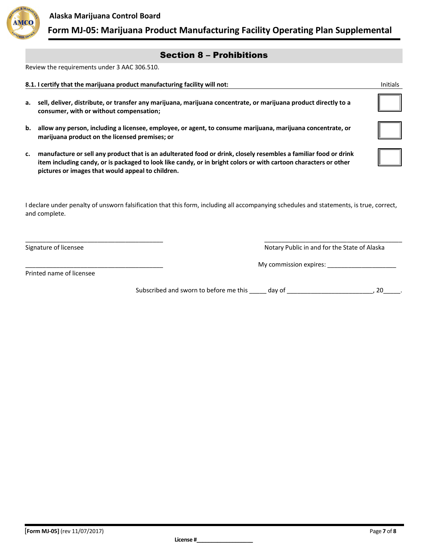

#### Section 8 – Prohibitions

Review the requirements under 3 AAC 306.510.

|    | 8.1. I certify that the marijuana product manufacturing facility will not:                                                                                                                                                                                                                | <b>Initials</b> |
|----|-------------------------------------------------------------------------------------------------------------------------------------------------------------------------------------------------------------------------------------------------------------------------------------------|-----------------|
| а. | sell, deliver, distribute, or transfer any marijuana, marijuana concentrate, or marijuana product directly to a<br>consumer, with or without compensation;                                                                                                                                |                 |
| b. | allow any person, including a licensee, employee, or agent, to consume marijuana, marijuana concentrate, or<br>marijuana product on the licensed premises; or                                                                                                                             |                 |
| c. | manufacture or sell any product that is an adulterated food or drink, closely resembles a familiar food or drink<br>item including candy, or is packaged to look like candy, or in bright colors or with cartoon characters or other<br>pictures or images that would appeal to children. |                 |

| I declare under penalty of unsworn falsification that this form, including all accompanying schedules and statements, is true, correct, |  |
|-----------------------------------------------------------------------------------------------------------------------------------------|--|
| and complete.                                                                                                                           |  |

\_\_\_\_\_\_\_\_\_\_\_\_\_\_\_\_\_\_\_\_\_\_\_\_\_\_\_\_\_\_\_\_\_\_\_\_\_\_\_\_ \_\_\_\_\_\_\_\_\_\_\_\_\_\_\_\_\_\_\_\_\_\_\_\_\_\_\_\_\_\_\_\_\_\_\_\_\_\_\_\_

Signature of licensee Notary Public in and for the State of Alaska

\_\_\_\_\_\_\_\_\_\_\_\_\_\_\_\_\_\_\_\_\_\_\_\_\_\_\_\_\_\_\_\_\_\_\_\_\_\_\_\_ My commission expires: \_\_\_\_\_\_\_\_\_\_\_\_\_\_\_\_\_\_\_\_

Printed name of licensee

Subscribed and sworn to before me this \_\_\_\_\_ day of \_\_\_\_\_\_\_\_\_\_\_\_\_\_\_\_\_\_\_\_\_\_\_\_\_\_\_, 20\_\_\_\_\_.